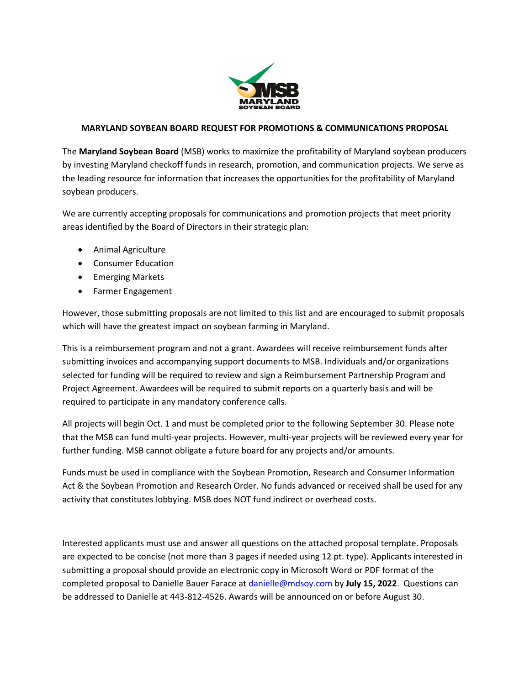

# **MARYLAND SOYBEAN BOARD REQUEST FOR PROMOTIONS & COMMUNICATIONS PROPOSAL**

The **Maryland Soybean Board** (MSB) works to maximize the profitability of Maryland soybean producers by investing Maryland checkoff funds in research, promotion, and communication projects. We serve as the leading resource for information that increases the opportunities for the profitability of Maryland soybean producers.

We are currently accepting proposals for communications and promotion projects that meet priority areas identified by the Board of Directors in their strategic plan:

- Animal Agriculture
- Consumer Education
- Emerging Markets
- Farmer Engagement

However, those submitting proposals are not limited to this list and are encouraged to submit proposals which will have the greatest impact on soybean farming in Maryland.

This is a reimbursement program and not a grant. Awardees will receive reimbursement funds after submitting invoices and accompanying support documents to MSB. Individuals and/or organizations selected for funding will be required to review and sign a Reimbursement Partnership Program and Project Agreement. Awardees will be required to submit reports on a quarterly basis and will be required to participate in any mandatory conference calls.

All projects will begin Oct. 1 and must be completed prior to the following September 30. Please note that the MSB can fund multi-year projects. However, multi-year projects will be reviewed every year for further funding. MSB cannot obligate a future board for any projects and/or amounts.

Funds must be used in compliance with the Soybean Promotion, Research and Consumer Information Act & the Soybean Promotion and Research Order. No funds advanced or received shall be used for any activity that constitutes lobbying. MSB does NOT fund indirect or overhead costs.

Interested applicants must use and answer all questions on the attached proposal template. Proposals are expected to be concise (not more than 3 pages if needed using 12 pt. type). Applicants interested in submitting a proposal should provide an electronic copy in Microsoft Word or PDF format of the completed proposal to Danielle Bauer Farace at [danielle@mdsoy.com](mailto:danielle@mdsoy.com) by **July 15, 2022**. Questions can be addressed to Danielle at 443-812-4526. Awards will be announced on or before August 30.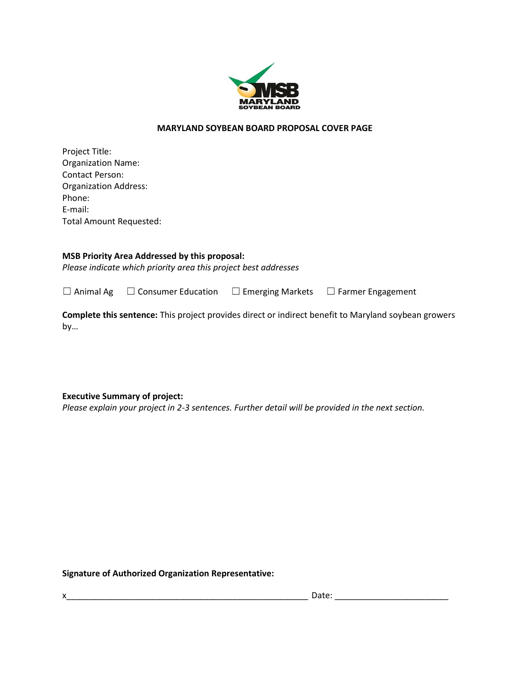

# **MARYLAND SOYBEAN BOARD PROPOSAL COVER PAGE**

Project Title: Organization Name: Contact Person: Organization Address: Phone: E-mail: Total Amount Requested:

### **MSB Priority Area Addressed by this proposal:**

*Please indicate which priority area this project best addresses*

☐ Animal Ag ☐ Consumer Education ☐ Emerging Markets ☐ Farmer Engagement

**Complete this sentence:** This project provides direct or indirect benefit to Maryland soybean growers by…

**Executive Summary of project:**

*Please explain your project in 2-3 sentences. Further detail will be provided in the next section.*

**Signature of Authorized Organization Representative:** 

x\_\_\_\_\_\_\_\_\_\_\_\_\_\_\_\_\_\_\_\_\_\_\_\_\_\_\_\_\_\_\_\_\_\_\_\_\_\_\_\_\_\_\_\_\_\_\_\_\_\_\_ Date: \_\_\_\_\_\_\_\_\_\_\_\_\_\_\_\_\_\_\_\_\_\_\_\_